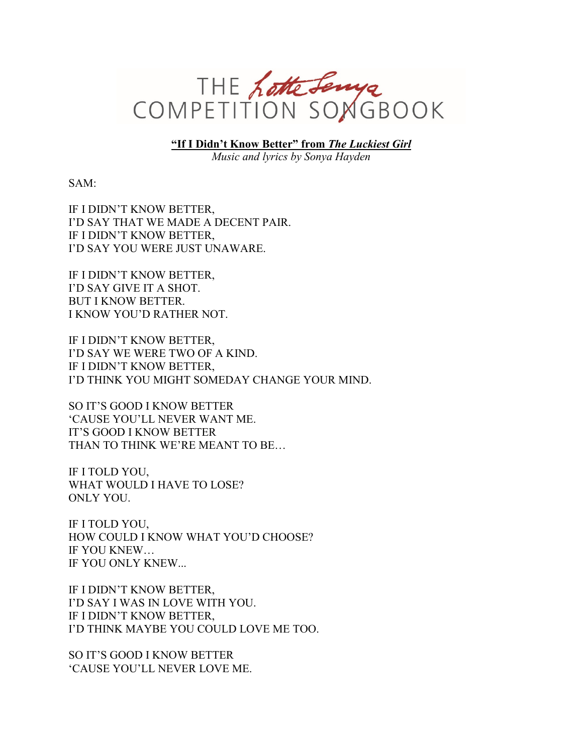

**"If I Didn't Know Better" from** *The Luckiest Girl*

*Music and lyrics by Sonya Hayden*

SAM:

IF I DIDN'T KNOW BETTER, I'D SAY THAT WE MADE A DECENT PAIR. IF I DIDN'T KNOW BETTER, I'D SAY YOU WERE JUST UNAWARE.

IF I DIDN'T KNOW BETTER, I'D SAY GIVE IT A SHOT. BUT I KNOW BETTER. I KNOW YOU'D RATHER NOT.

IF I DIDN'T KNOW BETTER, I'D SAY WE WERE TWO OF A KIND. IF I DIDN'T KNOW BETTER, I'D THINK YOU MIGHT SOMEDAY CHANGE YOUR MIND.

SO IT'S GOOD I KNOW BETTER 'CAUSE YOU'LL NEVER WANT ME. IT'S GOOD I KNOW BETTER THAN TO THINK WE'RE MEANT TO BE…

IF I TOLD YOU, WHAT WOULD I HAVE TO LOSE? ONLY YOU.

IF I TOLD YOU, HOW COULD I KNOW WHAT YOU'D CHOOSE? IF YOU KNEW… IF YOU ONLY KNEW...

IF I DIDN'T KNOW BETTER, I'D SAY I WAS IN LOVE WITH YOU. IF I DIDN'T KNOW BETTER, I'D THINK MAYBE YOU COULD LOVE ME TOO.

SO IT'S GOOD I KNOW BETTER 'CAUSE YOU'LL NEVER LOVE ME.